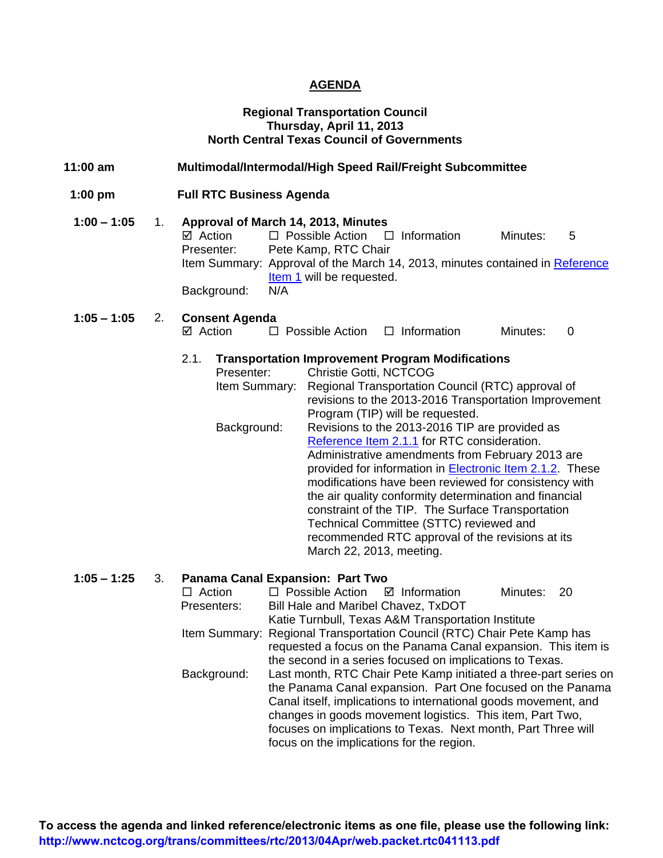#### **AGENDA**

#### **Regional Transportation Council Thursday, April 11, 2013 North Central Texas Council of Governments**

 **1:00 pm Full RTC Business Agenda** 

| $1:00 - 1:05$ | Approval of March 14, 2013, Minutes |                                                                              |          |   |
|---------------|-------------------------------------|------------------------------------------------------------------------------|----------|---|
|               | ☑ Action                            | $\Box$ Possible Action $\Box$ Information                                    | Minutes: | 5 |
|               | Presenter:                          | Pete Kamp, RTC Chair                                                         |          |   |
|               |                                     | Item Summary: Approval of the March 14, 2013, minutes contained in Reference |          |   |
|               |                                     | Item 1 will be requested.                                                    |          |   |
|               | Background:                         | N/A                                                                          |          |   |

**1:05 – 1:05** 2. **Consent Agenda**  $\Box$  Possible Action  $\Box$  Information Minutes: 0

#### 2.1. **Transportation Improvement Program Modifications**

| Presenter:    | <b>Christie Gotti, NCTCOG</b>                                    |
|---------------|------------------------------------------------------------------|
| Item Summary: | Regional Transportation Council (RTC) approval of                |
|               | revisions to the 2013-2016 Transportation Improvement            |
|               | Program (TIP) will be requested.                                 |
| Background:   | Revisions to the 2013-2016 TIP are provided as                   |
|               | Reference Item 2.1.1 for RTC consideration.                      |
|               | Administrative amendments from February 2013 are                 |
|               | provided for information in <b>Electronic Item 2.1.2</b> . These |
|               | modifications have been reviewed for consistency with            |
|               | the air quality conformity determination and financial           |
|               | constraint of the TIP. The Surface Transportation                |
|               | Technical Committee (STTC) reviewed and                          |
|               | recommended RTC approval of the revisions at its                 |
|               | March 22, 2013, meeting.                                         |

#### **1:05 – 1:25** 3. **Panama Canal Expansion: Part Two**

|                                                                                 | $\Box$ Action | $\Box$ Possible Action $\Box$ Information                               |                                                                 | Minutes: 20 |  |  |
|---------------------------------------------------------------------------------|---------------|-------------------------------------------------------------------------|-----------------------------------------------------------------|-------------|--|--|
|                                                                                 | Presenters:   | Bill Hale and Maribel Chavez, TxDOT                                     |                                                                 |             |  |  |
|                                                                                 |               |                                                                         | Katie Turnbull, Texas A&M Transportation Institute              |             |  |  |
|                                                                                 |               | Item Summary: Regional Transportation Council (RTC) Chair Pete Kamp has |                                                                 |             |  |  |
|                                                                                 |               |                                                                         | requested a focus on the Panama Canal expansion. This item is   |             |  |  |
|                                                                                 |               |                                                                         | the second in a series focused on implications to Texas.        |             |  |  |
| Last month, RTC Chair Pete Kamp initiated a three-part series on<br>Background: |               |                                                                         |                                                                 |             |  |  |
|                                                                                 |               | the Panama Canal expansion. Part One focused on the Panama              |                                                                 |             |  |  |
|                                                                                 |               |                                                                         | Canal itself, implications to international goods movement, and |             |  |  |
|                                                                                 |               |                                                                         | changes in goods movement logistics. This item, Part Two,       |             |  |  |
|                                                                                 |               |                                                                         | focuses on implications to Texas. Next month, Part Three will   |             |  |  |
|                                                                                 |               | focus on the implications for the region.                               |                                                                 |             |  |  |
|                                                                                 |               |                                                                         |                                                                 |             |  |  |

**To access the agenda and linked reference/electronic items as one file, please use the following link: http://www.nctcog.org/trans/committees/rtc/2013/04Apr/web.packet.rtc041113.pdf**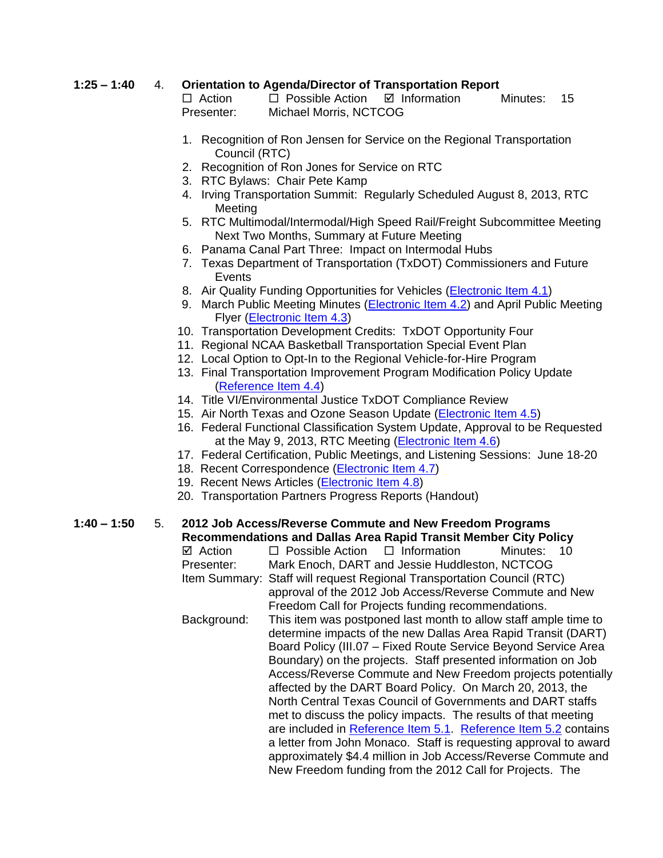### **1:25 – 1:40** 4. **Orientation to Agenda/Director of Transportation Report**

 $\Box$  Action  $\Box$  Possible Action  $\Box$  Information Minutes: 15 Presenter: Michael Morris, NCTCOG

- 1. Recognition of Ron Jensen for Service on the Regional Transportation Council (RTC)
- 2. Recognition of Ron Jones for Service on RTC
- 3. RTC Bylaws: Chair Pete Kamp
- 4. Irving Transportation Summit: Regularly Scheduled August 8, 2013, RTC Meeting
- 5. RTC Multimodal/Intermodal/High Speed Rail/Freight Subcommittee Meeting Next Two Months, Summary at Future Meeting
- 6. Panama Canal Part Three: Impact on Intermodal Hubs
- 7. Texas Department of Transportation (TxDOT) Commissioners and Future Events
- 8. Air Quality Funding Opportunities for Vehicles [\(Electronic Item 4.1\)](http://www.nctcog.org/trans/committees/rtc/2013/04Apr/Ref.Itm_4.1.rtc041113.pdf)
- 9. March Public Meeting Minutes [\(Electronic Item 4.2\)](http://www.nctcog.org/trans/committees/rtc/2013/04Apr/Ref.Itm_4.2.rtc041113.pdf) and April Public Meeting Flyer [\(Electronic Item 4.3\)](http://www.nctcog.org/trans/committees/rtc/2013/04Apr/Ref.Itm_4.3.rtc041113.pdf)
- 10. Transportation Development Credits: TxDOT Opportunity Four
- 11. Regional NCAA Basketball Transportation Special Event Plan
- 12. Local Option to Opt-In to the Regional Vehicle-for-Hire Program
- 13. Final Transportation Improvement Program Modification Policy Update [\(Reference Item 4.4\)](http://www.nctcog.org/trans/committees/rtc/2013/04Apr/Ref.Itm_4.4.rtc041113.pdf)
- 14. Title VI/Environmental Justice TxDOT Compliance Review
- 15. Air North Texas and Ozone Season Update [\(Electronic Item 4.5\)](http://www.nctcog.org/trans/committees/rtc/2013/04Apr/Ref.Itm_4.5.rtc041113.pdf)
- 16. Federal Functional Classification System Update, Approval to be Requested at the May 9, 2013, RTC Meeting [\(Electronic Item 4.6\)](http://www.nctcog.org/trans/committees/rtc/2013/04Apr/Ref.Itm_4.6.rtc041113.pdf)
- 17. Federal Certification, Public Meetings, and Listening Sessions: June 18-20
- 18. Recent Correspondence [\(Electronic Item 4.7\)](http://www.nctcog.org/trans/committees/rtc/2013/04Apr/Ref.Itm_4.7.rtc041113.pdf)
- 19. Recent News Articles [\(Electronic Item 4.8\)](http://www.nctcog.org/trans/committees/rtc/2013/04Apr/Ref.Itm_4.8.rtc041113.pdf)
- 20. Transportation Partners Progress Reports (Handout)

## **1:40 – 1:50** 5. **2012 Job Access/Reverse Commute and New Freedom Programs Recommendations and Dallas Area Rapid Transit Member City Policy**

 $\boxtimes$  Action  $\Box$  Possible Action  $\Box$  Information Minutes: 10 Presenter: Mark Enoch, DART and Jessie Huddleston, NCTCOG Item Summary: Staff will request Regional Transportation Council (RTC) approval of the 2012 Job Access/Reverse Commute and New Freedom Call for Projects funding recommendations. Background: This item was postponed last month to allow staff ample time to determine impacts of the new Dallas Area Rapid Transit (DART) Board Policy (III.07 – Fixed Route Service Beyond Service Area Boundary) on the projects. Staff presented information on Job Access/Reverse Commute and New Freedom projects potentially affected by the DART Board Policy. On March 20, 2013, the North Central Texas Council of Governments and DART staffs met to discuss the policy impacts. The results of that meeting are included in [Reference Item 5.1.](http://www.nctcog.org/trans/committees/rtc/2013/04Apr/Ref.Itm_5.1.rtc041113_000.pdf) [Reference Item 5.2](http://www.nctcog.org/trans/committees/rtc/2013/04Apr/Ref.Itm_5.2.rtc041113.pdf) contains a letter from John Monaco. Staff is requesting approval to award approximately \$4.4 million in Job Access/Reverse Commute and New Freedom funding from the 2012 Call for Projects. The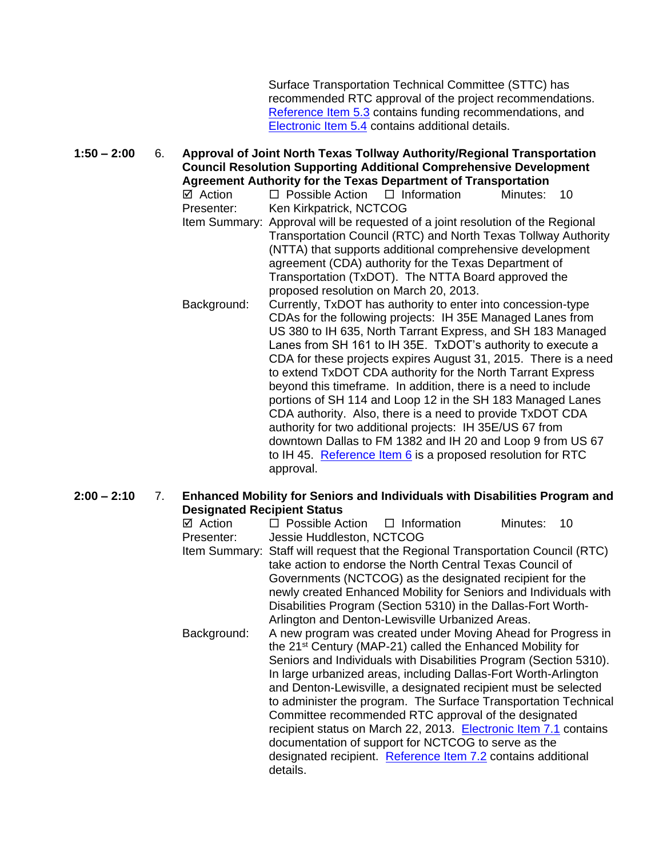Surface Transportation Technical Committee (STTC) has recommended RTC approval of the project recommendations. [Reference Item 5.3](http://www.nctcog.org/trans/committees/rtc/2013/04Apr/Ref.Itm_5.3.rtc041113.pdf) contains funding recommendations, and [Electronic Item 5.4](http://www.nctcog.org/trans/committees/rtc/2013/04Apr/Ref.Itm_5.4.rtc041113.pdf) contains additional details.

**1:50 – 2:00** 6. **Approval of Joint North Texas Tollway Authority/Regional Transportation Council Resolution Supporting Additional Comprehensive Development Agreement Authority for the Texas Department of Transportation**

 $\boxtimes$  Action  $\Box$  Possible Action  $\Box$  Information Minutes: 10 Presenter: Ken Kirkpatrick, NCTCOG

- Item Summary: Approval will be requested of a joint resolution of the Regional Transportation Council (RTC) and North Texas Tollway Authority (NTTA) that supports additional comprehensive development agreement (CDA) authority for the Texas Department of Transportation (TxDOT). The NTTA Board approved the proposed resolution on March 20, 2013.
- Background: Currently, TxDOT has authority to enter into concession-type CDAs for the following projects: IH 35E Managed Lanes from US 380 to IH 635, North Tarrant Express, and SH 183 Managed Lanes from SH 161 to IH 35E. TxDOT's authority to execute a CDA for these projects expires August 31, 2015. There is a need to extend TxDOT CDA authority for the North Tarrant Express beyond this timeframe. In addition, there is a need to include portions of SH 114 and Loop 12 in the SH 183 Managed Lanes CDA authority. Also, there is a need to provide TxDOT CDA authority for two additional projects: IH 35E/US 67 from downtown Dallas to FM 1382 and IH 20 and Loop 9 from US 67 to IH 45. [Reference Item 6](http://www.nctcog.org/trans/committees/rtc/2013/04Apr/Ref.Itm_6.rtc041113.pdf) is a proposed resolution for RTC approval.

#### **2:00 – 2:10** 7. **Enhanced Mobility for Seniors and Individuals with Disabilities Program and Designated Recipient Status**

| ⊠ Action<br>Presenter: | $\Box$ Possible Action $\Box$ Information<br>Minutes:<br>10<br>Jessie Huddleston, NCTCOG                                                                                                                                                                                                                                                                                                                                                                                                                                                                                                                                                                                                                                               |  |  |  |  |  |
|------------------------|----------------------------------------------------------------------------------------------------------------------------------------------------------------------------------------------------------------------------------------------------------------------------------------------------------------------------------------------------------------------------------------------------------------------------------------------------------------------------------------------------------------------------------------------------------------------------------------------------------------------------------------------------------------------------------------------------------------------------------------|--|--|--|--|--|
|                        | Item Summary: Staff will request that the Regional Transportation Council (RTC)<br>take action to endorse the North Central Texas Council of<br>Governments (NCTCOG) as the designated recipient for the<br>newly created Enhanced Mobility for Seniors and Individuals with                                                                                                                                                                                                                                                                                                                                                                                                                                                           |  |  |  |  |  |
|                        | Disabilities Program (Section 5310) in the Dallas-Fort Worth-                                                                                                                                                                                                                                                                                                                                                                                                                                                                                                                                                                                                                                                                          |  |  |  |  |  |
| Background:            | Arlington and Denton-Lewisville Urbanized Areas.<br>A new program was created under Moving Ahead for Progress in<br>the 21 <sup>st</sup> Century (MAP-21) called the Enhanced Mobility for<br>Seniors and Individuals with Disabilities Program (Section 5310).<br>In large urbanized areas, including Dallas-Fort Worth-Arlington<br>and Denton-Lewisville, a designated recipient must be selected<br>to administer the program. The Surface Transportation Technical<br>Committee recommended RTC approval of the designated<br>recipient status on March 22, 2013. Electronic Item 7.1 contains<br>documentation of support for NCTCOG to serve as the<br>designated recipient. Reference Item 7.2 contains additional<br>details. |  |  |  |  |  |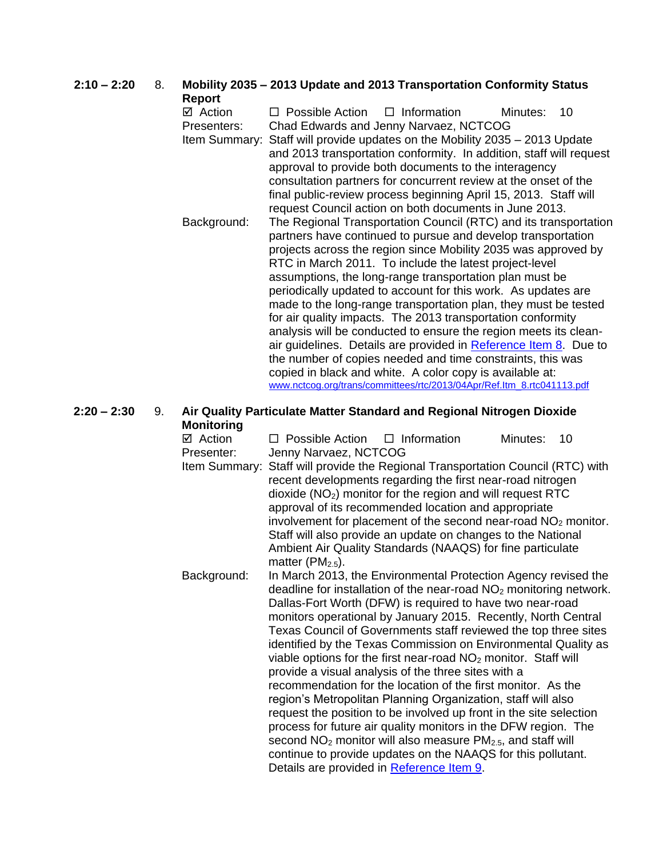| $2:10 - 2:20$ | 8. | Mobility 2035 - 2013 Update and 2013 Transportation Conformity Status<br>Report |                                                                                                                                                                                                                                                                                                                                                                                                                                                                                                                            |  |  |
|---------------|----|---------------------------------------------------------------------------------|----------------------------------------------------------------------------------------------------------------------------------------------------------------------------------------------------------------------------------------------------------------------------------------------------------------------------------------------------------------------------------------------------------------------------------------------------------------------------------------------------------------------------|--|--|
|               |    | ⊠ Action                                                                        | $\Box$ Information<br>$\Box$ Possible Action<br>Minutes:<br>10                                                                                                                                                                                                                                                                                                                                                                                                                                                             |  |  |
|               |    | Presenters:                                                                     | Chad Edwards and Jenny Narvaez, NCTCOG                                                                                                                                                                                                                                                                                                                                                                                                                                                                                     |  |  |
|               |    |                                                                                 | Item Summary: Staff will provide updates on the Mobility 2035 – 2013 Update<br>and 2013 transportation conformity. In addition, staff will request<br>approval to provide both documents to the interagency<br>consultation partners for concurrent review at the onset of the<br>final public-review process beginning April 15, 2013. Staff will                                                                                                                                                                         |  |  |
|               |    |                                                                                 | request Council action on both documents in June 2013.                                                                                                                                                                                                                                                                                                                                                                                                                                                                     |  |  |
|               |    | Background:                                                                     | The Regional Transportation Council (RTC) and its transportation<br>partners have continued to pursue and develop transportation<br>projects across the region since Mobility 2035 was approved by<br>RTC in March 2011. To include the latest project-level<br>assumptions, the long-range transportation plan must be<br>periodically updated to account for this work. As updates are<br>made to the long-range transportation plan, they must be tested<br>for air quality impacts. The 2013 transportation conformity |  |  |
|               |    |                                                                                 | analysis will be conducted to ensure the region meets its clean-<br>air guidelines. Details are provided in Reference Item 8. Due to<br>the number of copies needed and time constraints, this was<br>copied in black and white. A color copy is available at:<br>www.nctcog.org/trans/committees/rtc/2013/04Apr/Ref.ltm_8.rtc041113.pdf                                                                                                                                                                                   |  |  |
| $2:20 - 2:30$ | 9. |                                                                                 | Air Quality Particulate Matter Standard and Regional Nitrogen Dioxide                                                                                                                                                                                                                                                                                                                                                                                                                                                      |  |  |

#### **2:20 – 2:30** 9. **Air Quality Particulate Matter Standard and Regional Nitrogen Dioxide Monitoring**

| ⊠ Action<br>Presenter: | $\Box$ Possible Action $\Box$ Information<br>Jenny Narvaez, NCTCOG                                                                                                                                                                                                                                                                                                                                                                                                                                                                                                                                                                                                                                                                                                                                                                                                                                                                                                                           | Minutes: | 10 |
|------------------------|----------------------------------------------------------------------------------------------------------------------------------------------------------------------------------------------------------------------------------------------------------------------------------------------------------------------------------------------------------------------------------------------------------------------------------------------------------------------------------------------------------------------------------------------------------------------------------------------------------------------------------------------------------------------------------------------------------------------------------------------------------------------------------------------------------------------------------------------------------------------------------------------------------------------------------------------------------------------------------------------|----------|----|
|                        | Item Summary: Staff will provide the Regional Transportation Council (RTC) with<br>recent developments regarding the first near-road nitrogen<br>$dioxide (NO2)$ monitor for the region and will request RTC<br>approval of its recommended location and appropriate<br>involvement for placement of the second near-road NO <sub>2</sub> monitor.<br>Staff will also provide an update on changes to the National<br>Ambient Air Quality Standards (NAAQS) for fine particulate<br>matter ( $PM2.5$ ).                                                                                                                                                                                                                                                                                                                                                                                                                                                                                      |          |    |
| Background:            | In March 2013, the Environmental Protection Agency revised the<br>deadline for installation of the near-road $NO2$ monitoring network.<br>Dallas-Fort Worth (DFW) is required to have two near-road<br>monitors operational by January 2015. Recently, North Central<br>Texas Council of Governments staff reviewed the top three sites<br>identified by the Texas Commission on Environmental Quality as<br>viable options for the first near-road $NO2$ monitor. Staff will<br>provide a visual analysis of the three sites with a<br>recommendation for the location of the first monitor. As the<br>region's Metropolitan Planning Organization, staff will also<br>request the position to be involved up front in the site selection<br>process for future air quality monitors in the DFW region. The<br>second $NO2$ monitor will also measure $PM2.5$ , and staff will<br>continue to provide updates on the NAAQS for this pollutant.<br>Details are provided in Reference Item 9. |          |    |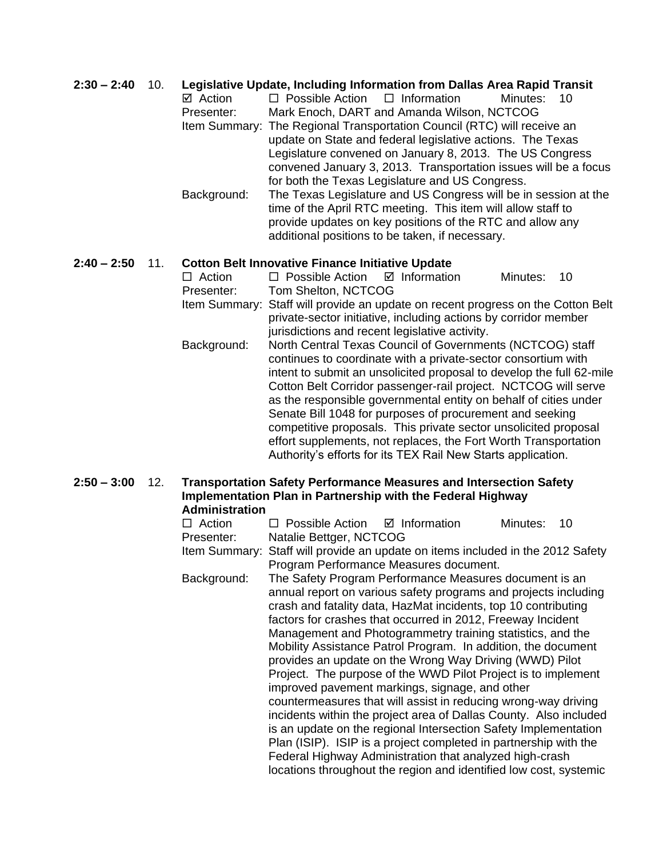#### **2:30 – 2:40** 10. **Legislative Update, Including Information from Dallas Area Rapid Transit**

| ⊠ Action    | $\Box$ Possible Action $\Box$ Information |                                                                         | Minutes:<br>-10                                                 |
|-------------|-------------------------------------------|-------------------------------------------------------------------------|-----------------------------------------------------------------|
| Presenter:  |                                           | Mark Enoch, DART and Amanda Wilson, NCTCOG                              |                                                                 |
|             |                                           | Item Summary: The Regional Transportation Council (RTC) will receive an |                                                                 |
|             |                                           | update on State and federal legislative actions. The Texas              |                                                                 |
|             |                                           | Legislature convened on January 8, 2013. The US Congress                |                                                                 |
|             |                                           |                                                                         | convened January 3, 2013. Transportation issues will be a focus |
|             |                                           | for both the Texas Legislature and US Congress.                         |                                                                 |
| Background: |                                           |                                                                         | The Texas Legislature and US Congress will be in session at the |
|             |                                           | time of the April RTC meeting. This item will allow staff to            |                                                                 |
|             |                                           | provide updates on key positions of the RTC and allow any               |                                                                 |

#### **2:40 – 2:50** 11. **Cotton Belt Innovative Finance Initiative Update**

| Action      | $\Box$ Possible Action $\Box$ Information<br>Minutes:<br>10                      |  |  |  |  |  |
|-------------|----------------------------------------------------------------------------------|--|--|--|--|--|
| Presenter:  | Tom Shelton, NCTCOG                                                              |  |  |  |  |  |
|             | Item Summary: Staff will provide an update on recent progress on the Cotton Belt |  |  |  |  |  |
|             | private-sector initiative, including actions by corridor member                  |  |  |  |  |  |
|             | jurisdictions and recent legislative activity.                                   |  |  |  |  |  |
| Background: | North Central Texas Council of Governments (NCTCOG) staff                        |  |  |  |  |  |
|             | continues to coordinate with a private-sector consortium with                    |  |  |  |  |  |
|             | intent to submit an unsolicited proposal to develop the full 62-mile             |  |  |  |  |  |
|             | Cotton Belt Corridor passenger-rail project. NCTCOG will serve                   |  |  |  |  |  |
|             | as the responsible governmental entity on behalf of cities under                 |  |  |  |  |  |
|             | Senate Bill 1048 for purposes of procurement and seeking                         |  |  |  |  |  |
|             | competitive proposals. This private sector unsolicited proposal                  |  |  |  |  |  |
|             | effort supplements, not replaces, the Fort Worth Transportation                  |  |  |  |  |  |
|             | Authority's efforts for its TEX Rail New Starts application.                     |  |  |  |  |  |
|             |                                                                                  |  |  |  |  |  |

additional positions to be taken, if necessary.

# **2:50 – 3:00** 12. **Transportation Safety Performance Measures and Intersection Safety Implementation Plan in Partnership with the Federal Highway**

| <b>Administration</b> |                                                                                                                                                                                                                                                                                                                                                                                                                                                                                                                                                                                                                                                                                                                                                                                                                                                                                                                                                                                       |          |    |
|-----------------------|---------------------------------------------------------------------------------------------------------------------------------------------------------------------------------------------------------------------------------------------------------------------------------------------------------------------------------------------------------------------------------------------------------------------------------------------------------------------------------------------------------------------------------------------------------------------------------------------------------------------------------------------------------------------------------------------------------------------------------------------------------------------------------------------------------------------------------------------------------------------------------------------------------------------------------------------------------------------------------------|----------|----|
| $\Box$ Action         | $\Box$ Possible Action $\Box$ Information                                                                                                                                                                                                                                                                                                                                                                                                                                                                                                                                                                                                                                                                                                                                                                                                                                                                                                                                             | Minutes: | 10 |
| Presenter:            | Natalie Bettger, NCTCOG                                                                                                                                                                                                                                                                                                                                                                                                                                                                                                                                                                                                                                                                                                                                                                                                                                                                                                                                                               |          |    |
|                       | Item Summary: Staff will provide an update on items included in the 2012 Safety<br>Program Performance Measures document.                                                                                                                                                                                                                                                                                                                                                                                                                                                                                                                                                                                                                                                                                                                                                                                                                                                             |          |    |
| Background:           | The Safety Program Performance Measures document is an<br>annual report on various safety programs and projects including<br>crash and fatality data, HazMat incidents, top 10 contributing<br>factors for crashes that occurred in 2012, Freeway Incident<br>Management and Photogrammetry training statistics, and the<br>Mobility Assistance Patrol Program. In addition, the document<br>provides an update on the Wrong Way Driving (WWD) Pilot<br>Project. The purpose of the WWD Pilot Project is to implement<br>improved pavement markings, signage, and other<br>countermeasures that will assist in reducing wrong-way driving<br>incidents within the project area of Dallas County. Also included<br>is an update on the regional Intersection Safety Implementation<br>Plan (ISIP). ISIP is a project completed in partnership with the<br>Federal Highway Administration that analyzed high-crash<br>locations throughout the region and identified low cost, systemic |          |    |